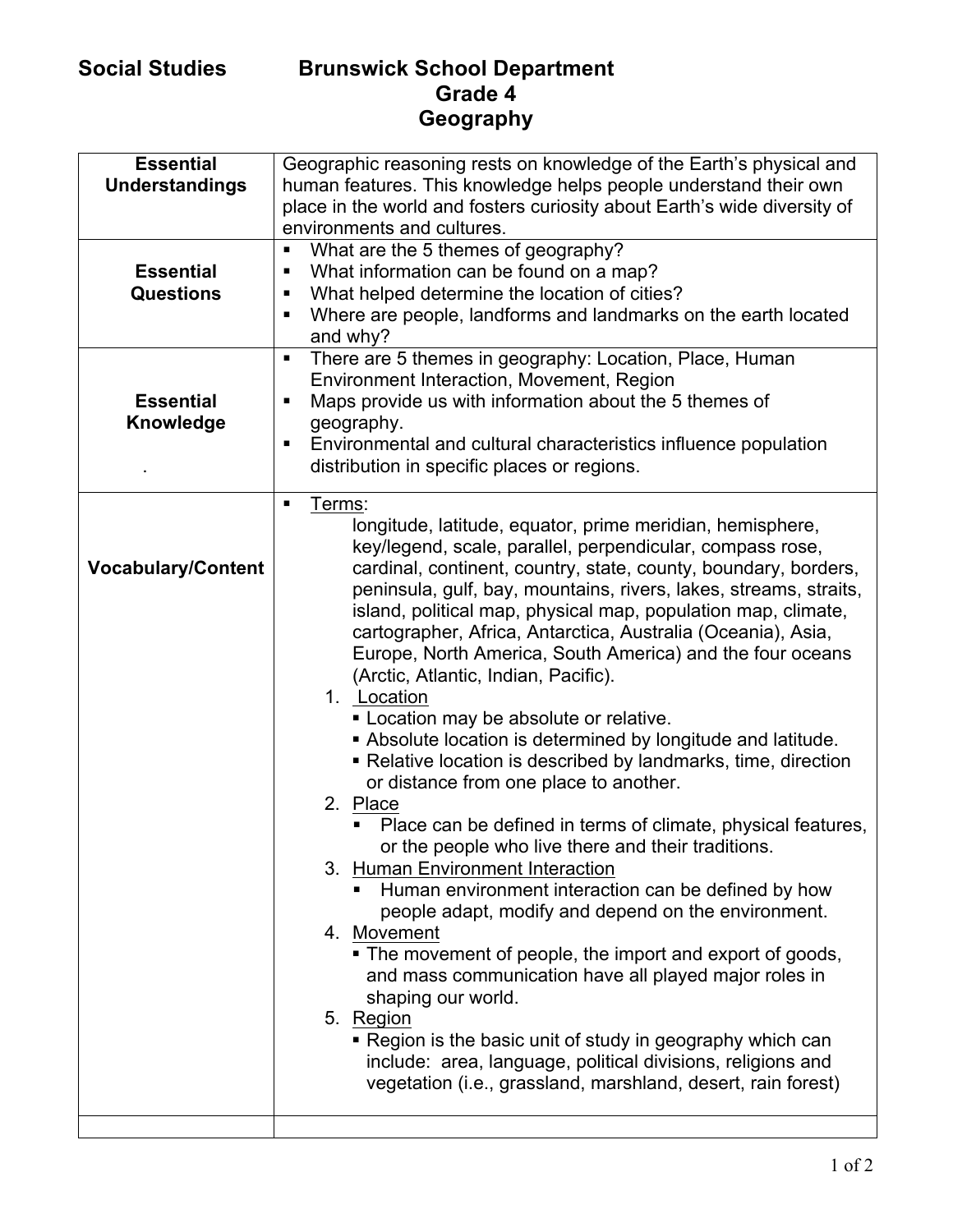## **Social Studies Brunswick School Department Grade 4 Geography**

| <b>Essential</b><br><b>Understandings</b><br><b>Essential</b><br><b>Questions</b><br><b>Essential</b><br>Knowledge | Geographic reasoning rests on knowledge of the Earth's physical and<br>human features. This knowledge helps people understand their own<br>place in the world and fosters curiosity about Earth's wide diversity of<br>environments and cultures.<br>What are the 5 themes of geography?<br>П<br>What information can be found on a map?<br>п<br>What helped determine the location of cities?<br>٠<br>Where are people, landforms and landmarks on the earth located<br>٠<br>and why?<br>There are 5 themes in geography: Location, Place, Human<br>п<br>Environment Interaction, Movement, Region<br>Maps provide us with information about the 5 themes of<br>٠<br>geography.<br>Environmental and cultural characteristics influence population<br>٠<br>distribution in specific places or regions.                                                                                                                                                                                                                                                                                                                                                                                                                                                                                                                                                                                                                     |
|--------------------------------------------------------------------------------------------------------------------|-----------------------------------------------------------------------------------------------------------------------------------------------------------------------------------------------------------------------------------------------------------------------------------------------------------------------------------------------------------------------------------------------------------------------------------------------------------------------------------------------------------------------------------------------------------------------------------------------------------------------------------------------------------------------------------------------------------------------------------------------------------------------------------------------------------------------------------------------------------------------------------------------------------------------------------------------------------------------------------------------------------------------------------------------------------------------------------------------------------------------------------------------------------------------------------------------------------------------------------------------------------------------------------------------------------------------------------------------------------------------------------------------------------------------------|
| <b>Vocabulary/Content</b>                                                                                          | Terms:<br>$\blacksquare$<br>longitude, latitude, equator, prime meridian, hemisphere,<br>key/legend, scale, parallel, perpendicular, compass rose,<br>cardinal, continent, country, state, county, boundary, borders,<br>peninsula, gulf, bay, mountains, rivers, lakes, streams, straits,<br>island, political map, physical map, population map, climate,<br>cartographer, Africa, Antarctica, Australia (Oceania), Asia,<br>Europe, North America, South America) and the four oceans<br>(Arctic, Atlantic, Indian, Pacific).<br>1. Location<br>Location may be absolute or relative.<br>Absolute location is determined by longitude and latitude.<br>• Relative location is described by landmarks, time, direction<br>or distance from one place to another.<br>2. Place<br>Place can be defined in terms of climate, physical features,<br>or the people who live there and their traditions.<br>3. Human Environment Interaction<br>Human environment interaction can be defined by how<br>people adapt, modify and depend on the environment.<br>4. Movement<br>• The movement of people, the import and export of goods,<br>and mass communication have all played major roles in<br>shaping our world.<br>5. Region<br>• Region is the basic unit of study in geography which can<br>include: area, language, political divisions, religions and<br>vegetation (i.e., grassland, marshland, desert, rain forest) |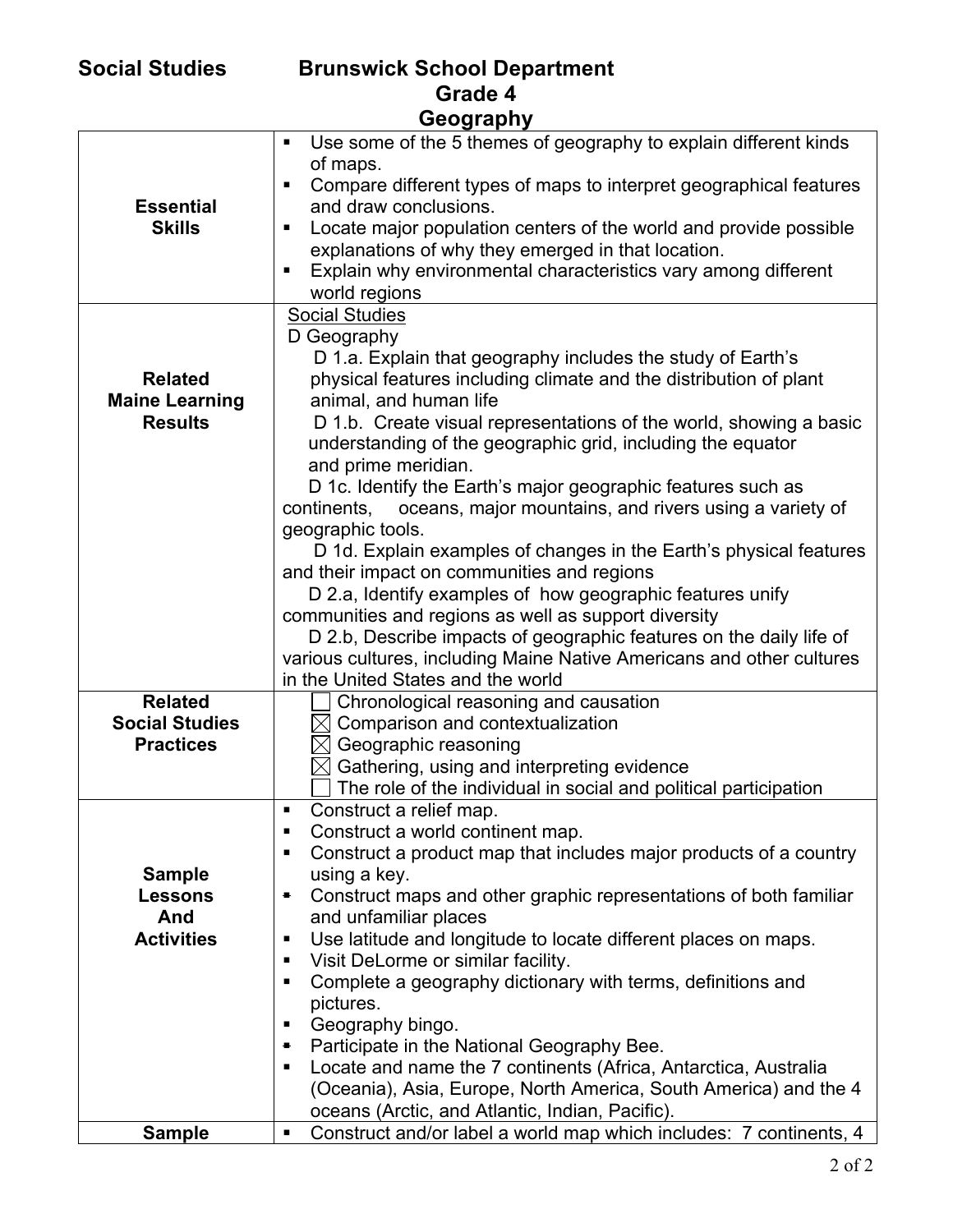| <b>Social Studies</b> |  |  |
|-----------------------|--|--|
|-----------------------|--|--|

| <b>Social Studies</b> | <b>Brunswick School Department</b> |
|-----------------------|------------------------------------|
|                       | Grade 4                            |
|                       | <b>CARNEAD</b>                     |

| Geography             |                                                                                       |  |
|-----------------------|---------------------------------------------------------------------------------------|--|
|                       | Use some of the 5 themes of geography to explain different kinds<br>٠                 |  |
|                       | of maps.                                                                              |  |
|                       | Compare different types of maps to interpret geographical features<br>п               |  |
| <b>Essential</b>      | and draw conclusions.                                                                 |  |
| <b>Skills</b>         | Locate major population centers of the world and provide possible<br>٠                |  |
|                       | explanations of why they emerged in that location.                                    |  |
|                       | Explain why environmental characteristics vary among different                        |  |
|                       | world regions                                                                         |  |
|                       | <b>Social Studies</b>                                                                 |  |
|                       | D Geography                                                                           |  |
|                       | D 1.a. Explain that geography includes the study of Earth's                           |  |
| <b>Related</b>        | physical features including climate and the distribution of plant                     |  |
| <b>Maine Learning</b> | animal, and human life                                                                |  |
| <b>Results</b>        | D 1.b. Create visual representations of the world, showing a basic                    |  |
|                       | understanding of the geographic grid, including the equator                           |  |
|                       | and prime meridian.                                                                   |  |
|                       | D 1c. Identify the Earth's major geographic features such as                          |  |
|                       | oceans, major mountains, and rivers using a variety of<br>continents,                 |  |
|                       | geographic tools.                                                                     |  |
|                       | D 1d. Explain examples of changes in the Earth's physical features                    |  |
|                       | and their impact on communities and regions                                           |  |
|                       | D 2.a, Identify examples of how geographic features unify                             |  |
|                       | communities and regions as well as support diversity                                  |  |
|                       | D 2.b, Describe impacts of geographic features on the daily life of                   |  |
|                       | various cultures, including Maine Native Americans and other cultures                 |  |
| <b>Related</b>        | in the United States and the world                                                    |  |
| <b>Social Studies</b> | Chronological reasoning and causation<br>$\boxtimes$ Comparison and contextualization |  |
| <b>Practices</b>      | $\boxtimes$ Geographic reasoning                                                      |  |
|                       | $\boxtimes$ Gathering, using and interpreting evidence                                |  |
|                       | The role of the individual in social and political participation                      |  |
|                       | Construct a relief map.                                                               |  |
|                       | Construct a world continent map.<br>п                                                 |  |
|                       | Construct a product map that includes major products of a country<br>٠                |  |
| <b>Sample</b>         | using a key.                                                                          |  |
| <b>Lessons</b>        | Construct maps and other graphic representations of both familiar<br>٠                |  |
| And                   | and unfamiliar places                                                                 |  |
| <b>Activities</b>     | Use latitude and longitude to locate different places on maps.<br>п                   |  |
|                       | Visit DeLorme or similar facility.<br>п                                               |  |
|                       | Complete a geography dictionary with terms, definitions and<br>п                      |  |
|                       | pictures.                                                                             |  |
|                       | Geography bingo.<br>п                                                                 |  |
|                       | Participate in the National Geography Bee.<br>٠                                       |  |
|                       | Locate and name the 7 continents (Africa, Antarctica, Australia<br>п                  |  |
|                       | (Oceania), Asia, Europe, North America, South America) and the 4                      |  |
|                       | oceans (Arctic, and Atlantic, Indian, Pacific).                                       |  |
| <b>Sample</b>         | Construct and/or label a world map which includes: 7 continents, 4<br>п               |  |